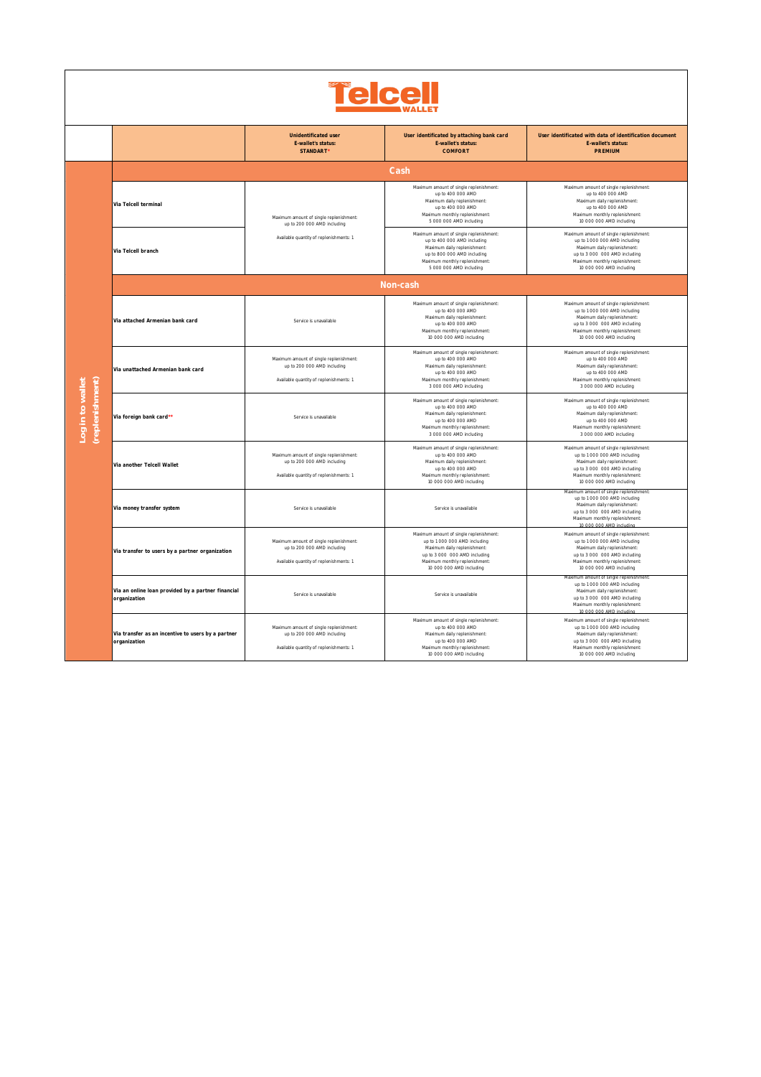| <b>relcel</b>                       |                                                                    |                                                                                                                   |                                                                                                                                                                                                        |                                                                                                                                                                                                         |  |  |  |
|-------------------------------------|--------------------------------------------------------------------|-------------------------------------------------------------------------------------------------------------------|--------------------------------------------------------------------------------------------------------------------------------------------------------------------------------------------------------|---------------------------------------------------------------------------------------------------------------------------------------------------------------------------------------------------------|--|--|--|
|                                     |                                                                    | Unidentificated user<br>E-wallet's status:<br>STANDART <sup>*</sup>                                               | User identificated by attaching bank card<br>E-wallet's status:<br>COMFORT                                                                                                                             | User identificated with data of identification document<br>E-wallet's status:<br>PREMIUM                                                                                                                |  |  |  |
| (replenishment)<br>Log in to wallet | Cash                                                               |                                                                                                                   |                                                                                                                                                                                                        |                                                                                                                                                                                                         |  |  |  |
|                                     | Via Telcell terminal                                               | Maximum amount of single replenishment:<br>up to 200 000 AMD including                                            | Maximum amount of single replenishment:<br>up to 400 000 AMD<br>Maximum daily replenishment:<br>up to 400 000 AMD<br>Maximum monthly replenishment:<br>5 000 000 AMD including                         | Maximum amount of single replenishment:<br>up to 400 000 AMD<br>Maximum daily replenishment:<br>up to 400 000 AMD<br>Maximum monthly replenishment:<br>10 000 000 AMD including                         |  |  |  |
|                                     | Via Telcell branch                                                 | Available quantity of replenishments: 1                                                                           | Maximum amount of single replenishment:<br>up to 400 000 AMD including<br>Maximum daily replenishment:<br>up to 800 000 AMD including<br>Maximum monthly replenishment<br>5 000 000 AMD including      | Maximum amount of single replenishment:<br>up to 1 000 000 AMD including<br>Maximum daily replenishment:<br>up to 3 000 000 AMD including<br>Maximum monthly replenishment:<br>10 000 000 AMD including |  |  |  |
|                                     | Non-cash                                                           |                                                                                                                   |                                                                                                                                                                                                        |                                                                                                                                                                                                         |  |  |  |
|                                     | Via attached Armenian bank card                                    | Service is unavailable                                                                                            | Maximum amount of single replenishment:<br>up to 400 000 AMD<br>Maximum daily replenishment:<br>up to 400 000 AMD<br>Maximum monthly replenishment<br>10 000 000 AMD including                         | Maximum amount of single replenishment:<br>up to 1 000 000 AMD including<br>Maximum daily replenishment:<br>up to 3 000 000 AMD including<br>Maximum monthly replenishment:<br>10 000 000 AMD including |  |  |  |
|                                     | Via unattached Armenian bank card                                  | Maximum amount of single replenishment:<br>up to 200 000 AMD including<br>Available quantity of replenishments: 1 | Maximum amount of single replenishment:<br>up to 400 000 AMD<br>Maximum daily replenishment:<br>up to 400 000 AMD<br>Maximum monthly replenishment<br>3 000 000 AMD including                          | Maximum amount of single replenishment:<br>up to 400 000 AMD<br>Maximum daily replenishment:<br>up to 400 000 AMD<br>Maximum monthly replenishment:<br>3 000 000 AMD including                          |  |  |  |
|                                     | Via foreign bank card**                                            | Service is unavailable                                                                                            | Maximum amount of single replenishment:<br>up to 400 000 AMD<br>Maximum daily replenishment:<br>up to 400 000 AMD<br>Maximum monthly replenishment:<br>3 000 000 AMD including                         | Maximum amount of single replenishment:<br>up to 400 000 AMD<br>Maximum daily replenishment:<br>up to 400 000 AMD<br>Maximum monthly replenishment:<br>3 000 000 AMD including                          |  |  |  |
|                                     | Via another Telcell Wallet                                         | Maximum amount of single replenishment:<br>up to 200 000 AMD including<br>Available quantity of replenishments: 1 | Maximum amount of single replenishment:<br>up to 400 000 AMD<br>Maximum daily replenishment:<br>up to 400 000 AMD<br>Maximum monthly replenishment:<br>10 000 000 AMD including                        | Maximum amount of single replenishment:<br>up to 1 000 000 AMD including<br>Maximum daily replenishment:<br>up to 3 000 000 AMD including<br>Maximum monthly replenishment:<br>10 000 000 AMD including |  |  |  |
|                                     | Via money transfer system                                          | Service is unavailable                                                                                            | Service is unavailable                                                                                                                                                                                 | Maximum amount of single replenishment:<br>up to 1 000 000 AMD including<br>Maximum daily replenishment:<br>up to 3 000 000 AMD including<br>Maximum monthly replenishment:<br>10 000 000 AMD including |  |  |  |
|                                     | Via transfer to users by a partner organization                    | Maximum amount of single replenishment:<br>up to 200 000 AMD including<br>Available quantity of replenishments: 1 | Maximum amount of single replenishment:<br>up to 1 000 000 AMD including<br>Maximum daily replenishment:<br>up to 3 000 000 AMD including<br>Maximum monthly replenishment<br>10 000 000 AMD including | Maximum amount of single replenishment:<br>up to 1 000 000 AMD including<br>Maximum daily replenishment:<br>up to 3 000 000 AMD including<br>Maximum monthly replenishment:<br>10 000 000 AMD including |  |  |  |
|                                     | Via an online loan provided by a partner financial<br>organization | Service is unavailable                                                                                            | Service is unavailable                                                                                                                                                                                 | Maximum amount of single replenishment<br>up to 1 000 000 AMD including<br>Maximum daily replenishment:<br>up to 3 000 000 AMD including<br>Maximum monthly replenishment:<br>10 000 000 AMD including  |  |  |  |
|                                     | Via transfer as an incentive to users by a partner<br>organization | Maximum amount of single replenishment:<br>up to 200 000 AMD including<br>Available quantity of replenishments: 1 | Maximum amount of single replenishment:<br>up to 400 000 AMD<br>Maximum daily replenishment:<br>up to 400 000 AMD<br>Maximum monthly replenishment<br>10 000 000 AMD including                         | Maximum amount of single replenishment:<br>up to 1 000 000 AMD including<br>Maximum daily replenishment:<br>up to 3 000 000 AMD including<br>Maximum monthly replenishment:<br>10 000 000 AMD including |  |  |  |